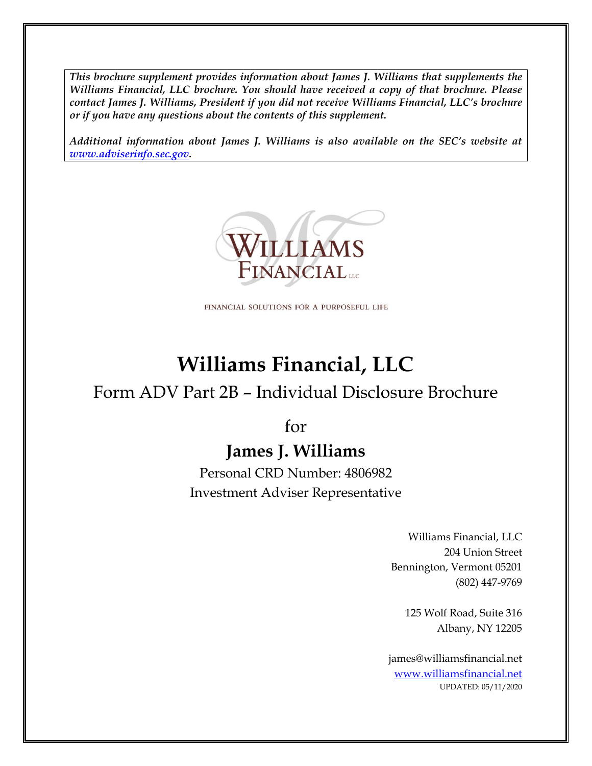*This brochure supplement provides information about James J. Williams that supplements the Williams Financial, LLC brochure. You should have received a copy of that brochure. Please contact James J. Williams, President if you did not receive Williams Financial, LLC's brochure or if you have any questions about the contents of this supplement.*

*Additional information about James J. Williams is also available on the SEC's website at [www.adviserinfo.sec.gov.](http://www.adviserinfo.sec.gov/)*



FINANCIAL SOLUTIONS FOR A PURPOSEFUL LIFE

# **Williams Financial, LLC**

## Form ADV Part 2B – Individual Disclosure Brochure

for

## **James J. Williams**

Personal CRD Number: 4806982 Investment Adviser Representative

> Williams Financial, LLC 204 Union Street Bennington, Vermont 05201 (802) 447-9769

> > 125 Wolf Road, Suite 316 Albany, NY 12205

james@williamsfinancial.net [www.williamsfinancial.net](http://www.williamsfinancial.net/) UPDATED: 05/11/2020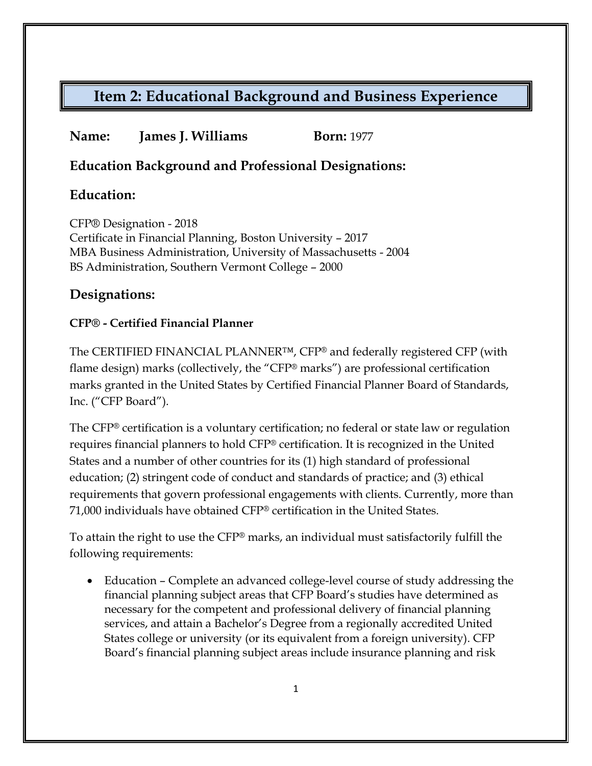### **Name: James J. Williams Born:** 1977

### **Education Background and Professional Designations:**

### **Education:**

CFP® Designation - 2018 Certificate in Financial Planning, Boston University – 2017 MBA Business Administration, University of Massachusetts - 2004 BS Administration, Southern Vermont College – 2000

### **Designations:**

### **CFP® - Certified Financial Planner**

The CERTIFIED FINANCIAL PLANNER™, CFP® and federally registered CFP (with flame design) marks (collectively, the "CFP® marks") are professional certification marks granted in the United States by Certified Financial Planner Board of Standards, Inc. ("CFP Board").

The CFP® certification is a voluntary certification; no federal or state law or regulation requires financial planners to hold CFP® certification. It is recognized in the United States and a number of other countries for its (1) high standard of professional education; (2) stringent code of conduct and standards of practice; and (3) ethical requirements that govern professional engagements with clients. Currently, more than 71,000 individuals have obtained CFP® certification in the United States.

To attain the right to use the CFP® marks, an individual must satisfactorily fulfill the following requirements:

• Education – Complete an advanced college-level course of study addressing the financial planning subject areas that CFP Board's studies have determined as necessary for the competent and professional delivery of financial planning services, and attain a Bachelor's Degree from a regionally accredited United States college or university (or its equivalent from a foreign university). CFP Board's financial planning subject areas include insurance planning and risk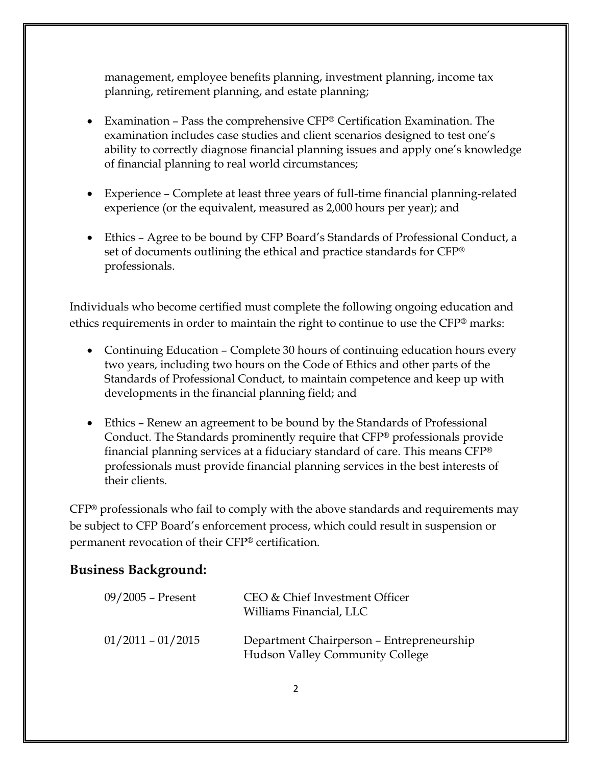management, employee benefits planning, investment planning, income tax planning, retirement planning, and estate planning;

- Examination Pass the comprehensive CFP® Certification Examination. The examination includes case studies and client scenarios designed to test one's ability to correctly diagnose financial planning issues and apply one's knowledge of financial planning to real world circumstances;
- Experience Complete at least three years of full-time financial planning-related experience (or the equivalent, measured as 2,000 hours per year); and
- Ethics Agree to be bound by CFP Board's Standards of Professional Conduct, a set of documents outlining the ethical and practice standards for CFP® professionals.

Individuals who become certified must complete the following ongoing education and ethics requirements in order to maintain the right to continue to use the CFP® marks:

- Continuing Education Complete 30 hours of continuing education hours every two years, including two hours on the Code of Ethics and other parts of the Standards of Professional Conduct, to maintain competence and keep up with developments in the financial planning field; and
- Ethics Renew an agreement to be bound by the Standards of Professional Conduct. The Standards prominently require that CFP® professionals provide financial planning services at a fiduciary standard of care. This means CFP® professionals must provide financial planning services in the best interests of their clients.

CFP® professionals who fail to comply with the above standards and requirements may be subject to CFP Board's enforcement process, which could result in suspension or permanent revocation of their CFP® certification.

### **Business Background:**

| $09/2005$ – Present | CEO & Chief Investment Officer<br>Williams Financial, LLC                           |
|---------------------|-------------------------------------------------------------------------------------|
| $01/2011 - 01/2015$ | Department Chairperson - Entrepreneurship<br><b>Hudson Valley Community College</b> |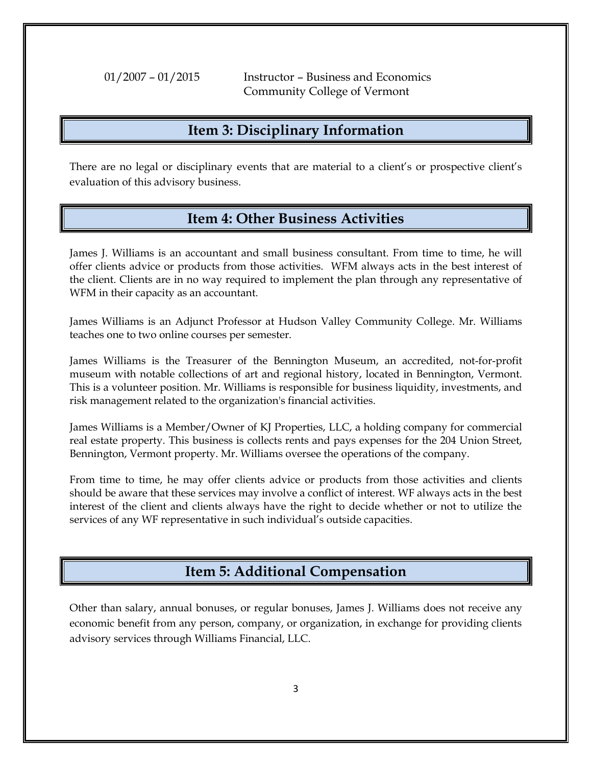01/2007 – 01/2015 Instructor – Business and Economics Community College of Vermont

### **Item 3: Disciplinary Information**

There are no legal or disciplinary events that are material to a client's or prospective client's evaluation of this advisory business.

### **Item 4: Other Business Activities**

James J. Williams is an accountant and small business consultant. From time to time, he will offer clients advice or products from those activities. WFM always acts in the best interest of the client. Clients are in no way required to implement the plan through any representative of WFM in their capacity as an accountant.

James Williams is an Adjunct Professor at Hudson Valley Community College. Mr. Williams teaches one to two online courses per semester.

James Williams is the Treasurer of the Bennington Museum, an accredited, not-for-profit museum with notable collections of art and regional history, located in Bennington, Vermont. This is a volunteer position. Mr. Williams is responsible for business liquidity, investments, and risk management related to the organization's financial activities.

James Williams is a Member/Owner of KJ Properties, LLC, a holding company for commercial real estate property. This business is collects rents and pays expenses for the 204 Union Street, Bennington, Vermont property. Mr. Williams oversee the operations of the company.

From time to time, he may offer clients advice or products from those activities and clients should be aware that these services may involve a conflict of interest. WF always acts in the best interest of the client and clients always have the right to decide whether or not to utilize the services of any WF representative in such individual's outside capacities.

### **Item 5: Additional Compensation**

Other than salary, annual bonuses, or regular bonuses, James J. Williams does not receive any economic benefit from any person, company, or organization, in exchange for providing clients advisory services through Williams Financial, LLC.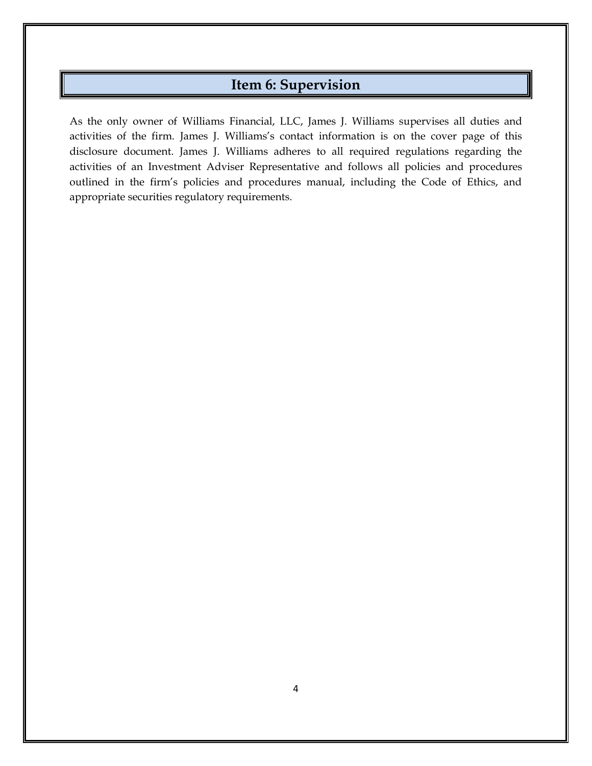### **Item 6: Supervision**

As the only owner of Williams Financial, LLC, James J. Williams supervises all duties and activities of the firm. James J. Williams's contact information is on the cover page of this disclosure document. James J. Williams adheres to all required regulations regarding the activities of an Investment Adviser Representative and follows all policies and procedures outlined in the firm's policies and procedures manual, including the Code of Ethics, and appropriate securities regulatory requirements.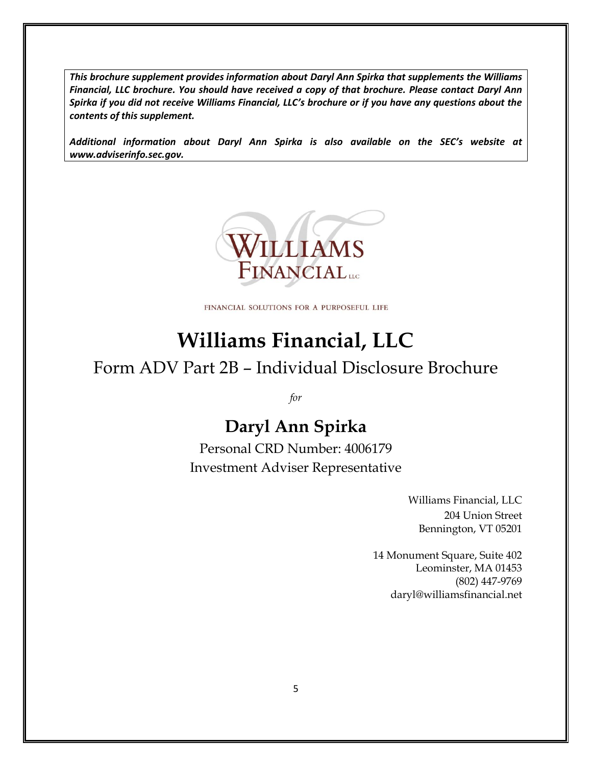*This brochure supplement provides information about Daryl Ann Spirka that supplements the Williams Financial, LLC brochure. You should have received a copy of that brochure. Please contact Daryl Ann Spirka if you did not receive Williams Financial, LLC's brochure or if you have any questions about the contents of this supplement.*

*Additional information about Daryl Ann Spirka is also available on the SEC's website at www.adviserinfo.sec.gov.*



FINANCIAL SOLUTIONS FOR A PURPOSEFUL LIFE

# **Williams Financial, LLC**

## Form ADV Part 2B – Individual Disclosure Brochure

*for*

## **Daryl Ann Spirka**

Personal CRD Number: 4006179 Investment Adviser Representative

> Williams Financial, LLC 204 Union Street Bennington, VT 05201

14 Monument Square, Suite 402 Leominster, MA 01453 (802) 447-9769 daryl@williamsfinancial.net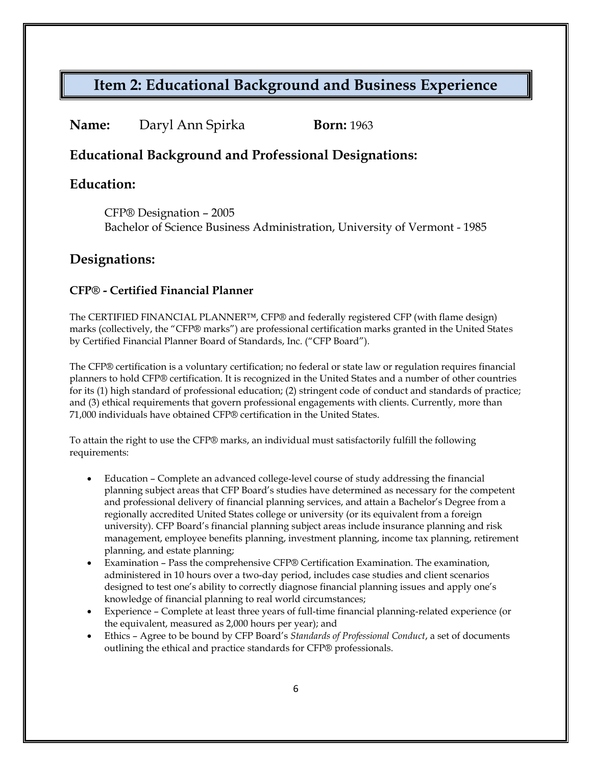#### **Name:** Daryl Ann Spirka **Born:** 1963

### **Educational Background and Professional Designations:**

### **Education:**

CFP® Designation – 2005 Bachelor of Science Business Administration, University of Vermont - 1985

### **Designations:**

#### **CFP® - Certified Financial Planner**

The CERTIFIED FINANCIAL PLANNER™, CFP® and federally registered CFP (with flame design) marks (collectively, the "CFP® marks") are professional certification marks granted in the United States by Certified Financial Planner Board of Standards, Inc. ("CFP Board").

The CFP® certification is a voluntary certification; no federal or state law or regulation requires financial planners to hold CFP® certification. It is recognized in the United States and a number of other countries for its (1) high standard of professional education; (2) stringent code of conduct and standards of practice; and (3) ethical requirements that govern professional engagements with clients. Currently, more than 71,000 individuals have obtained CFP® certification in the United States.

To attain the right to use the CFP® marks, an individual must satisfactorily fulfill the following requirements:

- Education Complete an advanced college-level course of study addressing the financial planning subject areas that CFP Board's studies have determined as necessary for the competent and professional delivery of financial planning services, and attain a Bachelor's Degree from a regionally accredited United States college or university (or its equivalent from a foreign university). CFP Board's financial planning subject areas include insurance planning and risk management, employee benefits planning, investment planning, income tax planning, retirement planning, and estate planning;
- Examination Pass the comprehensive CFP® Certification Examination. The examination, administered in 10 hours over a two-day period, includes case studies and client scenarios designed to test one's ability to correctly diagnose financial planning issues and apply one's knowledge of financial planning to real world circumstances;
- Experience Complete at least three years of full-time financial planning-related experience (or the equivalent, measured as 2,000 hours per year); and
- Ethics Agree to be bound by CFP Board's *Standards of Professional Conduct*, a set of documents outlining the ethical and practice standards for CFP® professionals.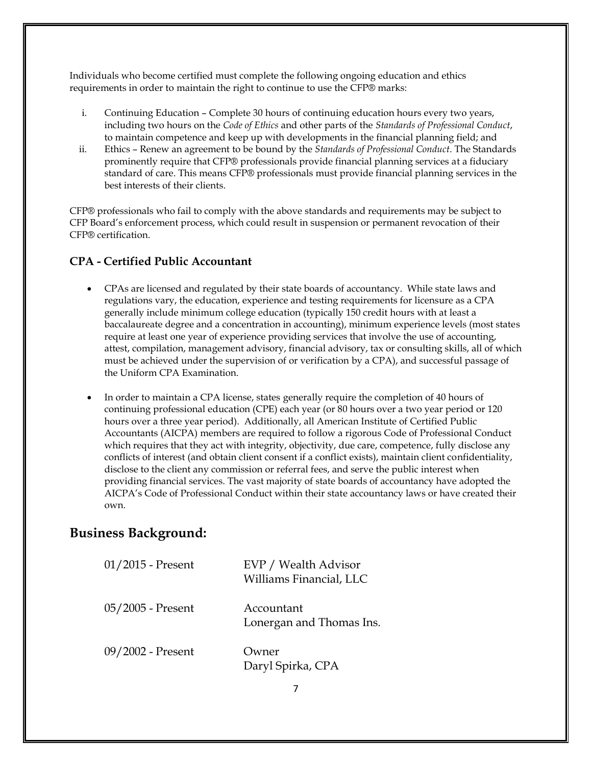Individuals who become certified must complete the following ongoing education and ethics requirements in order to maintain the right to continue to use the CFP® marks:

- i. Continuing Education Complete 30 hours of continuing education hours every two years, including two hours on the *Code of Ethics* and other parts of the *Standards of Professional Conduct*, to maintain competence and keep up with developments in the financial planning field; and
- ii. Ethics Renew an agreement to be bound by the *Standards of Professional Conduct*. The Standards prominently require that CFP® professionals provide financial planning services at a fiduciary standard of care. This means CFP® professionals must provide financial planning services in the best interests of their clients.

CFP® professionals who fail to comply with the above standards and requirements may be subject to CFP Board's enforcement process, which could result in suspension or permanent revocation of their CFP® certification.

#### **CPA - Certified Public Accountant**

- CPAs are licensed and regulated by their state boards of accountancy. While state laws and regulations vary, the education, experience and testing requirements for licensure as a CPA generally include minimum college education (typically 150 credit hours with at least a baccalaureate degree and a concentration in accounting), minimum experience levels (most states require at least one year of experience providing services that involve the use of accounting, attest, compilation, management advisory, financial advisory, tax or consulting skills, all of which must be achieved under the supervision of or verification by a CPA), and successful passage of the Uniform CPA Examination.
- In order to maintain a CPA license, states generally require the completion of 40 hours of continuing professional education (CPE) each year (or 80 hours over a two year period or 120 hours over a three year period). Additionally, all American Institute of Certified Public Accountants (AICPA) members are required to follow a rigorous Code of Professional Conduct which requires that they act with integrity, objectivity, due care, competence, fully disclose any conflicts of interest (and obtain client consent if a conflict exists), maintain client confidentiality, disclose to the client any commission or referral fees, and serve the public interest when providing financial services. The vast majority of state boards of accountancy have adopted the AICPA's Code of Professional Conduct within their state accountancy laws or have created their own.

### **Business Background:**

| $01/2015$ - Present | EVP / Wealth Advisor<br>Williams Financial, LLC |
|---------------------|-------------------------------------------------|
| 05/2005 - Present   | Accountant<br>Lonergan and Thomas Ins.          |
| 09/2002 - Present   | Owner<br>Daryl Spirka, CPA                      |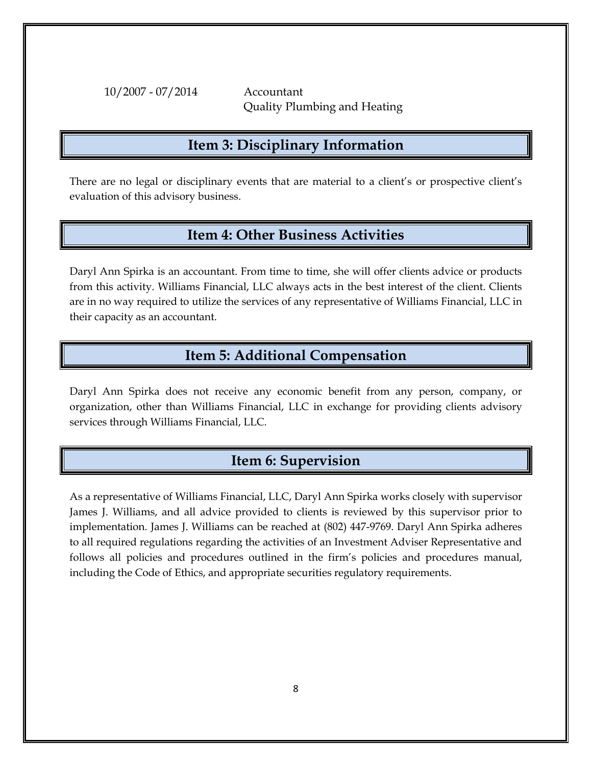10/2007 - 07/2014 Accountant

Quality Plumbing and Heating

### **Item 3: Disciplinary Information**

There are no legal or disciplinary events that are material to a client's or prospective client's evaluation of this advisory business.

### **Item 4: Other Business Activities**

Daryl Ann Spirka is an accountant. From time to time, she will offer clients advice or products from this activity. Williams Financial, LLC always acts in the best interest of the client. Clients are in no way required to utilize the services of any representative of Williams Financial, LLC in their capacity as an accountant.

### **Item 5: Additional Compensation**

Daryl Ann Spirka does not receive any economic benefit from any person, company, or organization, other than Williams Financial, LLC in exchange for providing clients advisory services through Williams Financial, LLC.

## **Item 6: Supervision**

As a representative of Williams Financial, LLC, Daryl Ann Spirka works closely with supervisor James J. Williams, and all advice provided to clients is reviewed by this supervisor prior to implementation. James J. Williams can be reached at (802) 447-9769. Daryl Ann Spirka adheres to all required regulations regarding the activities of an Investment Adviser Representative and follows all policies and procedures outlined in the firm's policies and procedures manual, including the Code of Ethics, and appropriate securities regulatory requirements.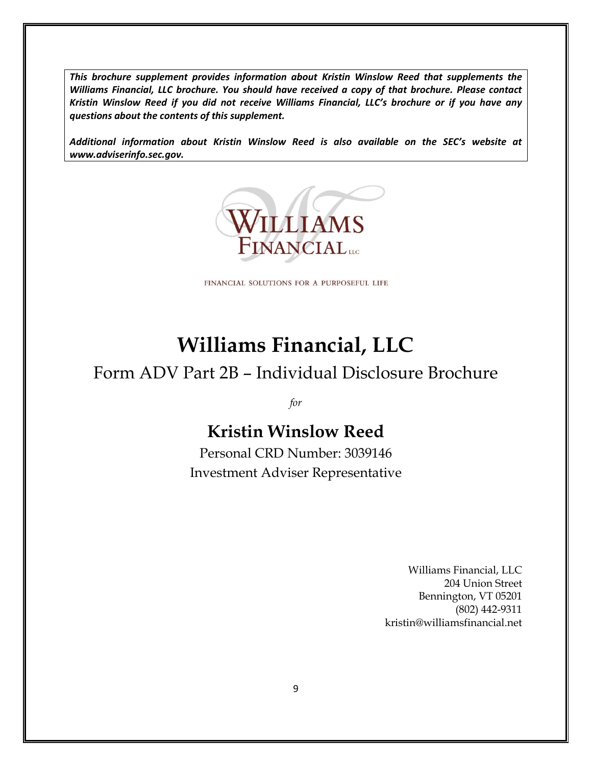*This brochure supplement provides information about Kristin Winslow Reed that supplements the Williams Financial, LLC brochure. You should have received a copy of that brochure. Please contact Kristin Winslow Reed if you did not receive Williams Financial, LLC's brochure or if you have any questions about the contents of this supplement.*

*Additional information about Kristin Winslow Reed is also available on the SEC's website at www.adviserinfo.sec.gov.*



FINANCIAL SOLUTIONS FOR A PURPOSEFUL LIFE

# **Williams Financial, LLC**

## Form ADV Part 2B – Individual Disclosure Brochure

*for*

## **Kristin Winslow Reed**

Personal CRD Number: 3039146 Investment Adviser Representative

> Williams Financial, LLC 204 Union Street Bennington, VT 05201 (802) 442-9311 kristin@williamsfinancial.net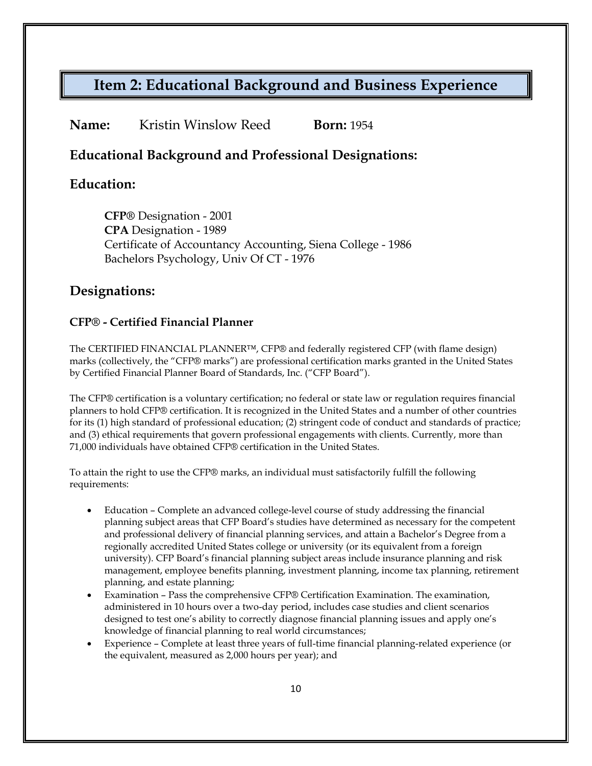| Name:<br>Kristin Winslow Reed | <b>Born:</b> 1954 |
|-------------------------------|-------------------|
|-------------------------------|-------------------|

### **Educational Background and Professional Designations:**

### **Education:**

**CFP®** Designation - 2001 **CPA** Designation - 1989 Certificate of Accountancy Accounting, Siena College - 1986 Bachelors Psychology, Univ Of CT - 1976

### **Designations:**

#### **CFP® - Certified Financial Planner**

The CERTIFIED FINANCIAL PLANNER™, CFP® and federally registered CFP (with flame design) marks (collectively, the "CFP® marks") are professional certification marks granted in the United States by Certified Financial Planner Board of Standards, Inc. ("CFP Board").

The CFP® certification is a voluntary certification; no federal or state law or regulation requires financial planners to hold CFP® certification. It is recognized in the United States and a number of other countries for its (1) high standard of professional education; (2) stringent code of conduct and standards of practice; and (3) ethical requirements that govern professional engagements with clients. Currently, more than 71,000 individuals have obtained CFP® certification in the United States.

To attain the right to use the CFP® marks, an individual must satisfactorily fulfill the following requirements:

- Education Complete an advanced college-level course of study addressing the financial planning subject areas that CFP Board's studies have determined as necessary for the competent and professional delivery of financial planning services, and attain a Bachelor's Degree from a regionally accredited United States college or university (or its equivalent from a foreign university). CFP Board's financial planning subject areas include insurance planning and risk management, employee benefits planning, investment planning, income tax planning, retirement planning, and estate planning;
- Examination Pass the comprehensive CFP® Certification Examination. The examination, administered in 10 hours over a two-day period, includes case studies and client scenarios designed to test one's ability to correctly diagnose financial planning issues and apply one's knowledge of financial planning to real world circumstances;
- Experience Complete at least three years of full-time financial planning-related experience (or the equivalent, measured as 2,000 hours per year); and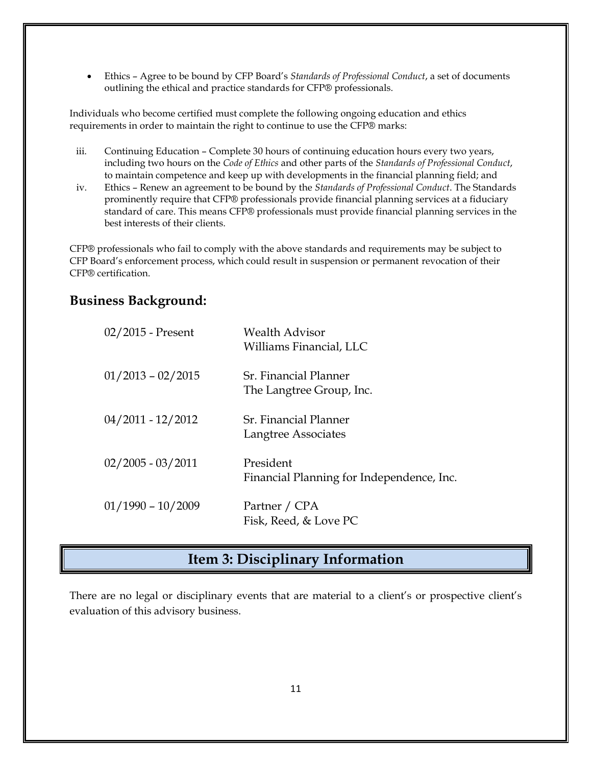• Ethics – Agree to be bound by CFP Board's *Standards of Professional Conduct*, a set of documents outlining the ethical and practice standards for CFP® professionals.

Individuals who become certified must complete the following ongoing education and ethics requirements in order to maintain the right to continue to use the CFP® marks:

- iii. Continuing Education Complete 30 hours of continuing education hours every two years, including two hours on the *Code of Ethics* and other parts of the *Standards of Professional Conduct*, to maintain competence and keep up with developments in the financial planning field; and
- iv. Ethics Renew an agreement to be bound by the *Standards of Professional Conduct*. The Standards prominently require that CFP® professionals provide financial planning services at a fiduciary standard of care. This means CFP® professionals must provide financial planning services in the best interests of their clients.

CFP® professionals who fail to comply with the above standards and requirements may be subject to CFP Board's enforcement process, which could result in suspension or permanent revocation of their CFP® certification.

### **Business Background:**

| $02/2015$ - Present | <b>Wealth Advisor</b><br>Williams Financial, LLC       |
|---------------------|--------------------------------------------------------|
| $01/2013 - 02/2015$ | Sr. Financial Planner<br>The Langtree Group, Inc.      |
| $04/2011 - 12/2012$ | Sr. Financial Planner<br>Langtree Associates           |
| $02/2005 - 03/2011$ | President<br>Financial Planning for Independence, Inc. |
| $01/1990 - 10/2009$ | Partner / CPA<br>Fisk, Reed, & Love PC                 |

## **Item 3: Disciplinary Information**

There are no legal or disciplinary events that are material to a client's or prospective client's evaluation of this advisory business.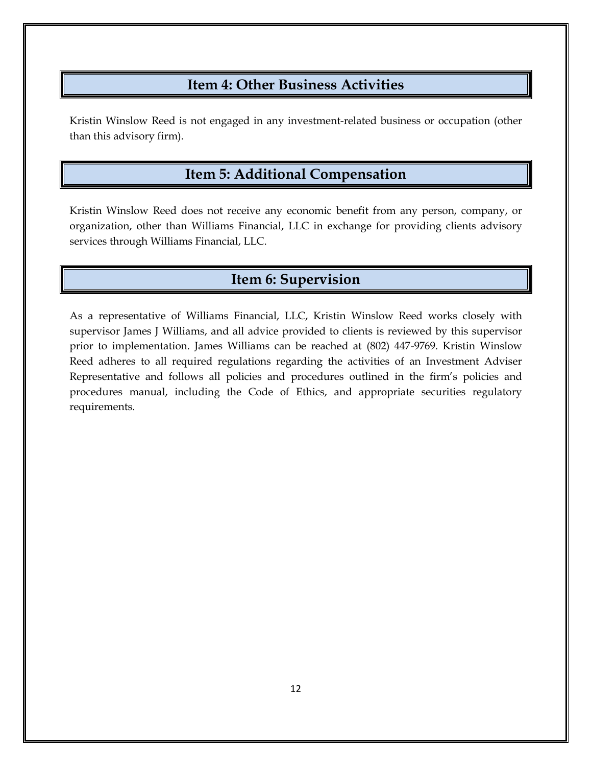### **Item 4: Other Business Activities**

Kristin Winslow Reed is not engaged in any investment-related business or occupation (other than this advisory firm).

## **Item 5: Additional Compensation**

Kristin Winslow Reed does not receive any economic benefit from any person, company, or organization, other than Williams Financial, LLC in exchange for providing clients advisory services through Williams Financial, LLC.

## **Item 6: Supervision**

As a representative of Williams Financial, LLC, Kristin Winslow Reed works closely with supervisor James J Williams, and all advice provided to clients is reviewed by this supervisor prior to implementation. James Williams can be reached at (802) 447-9769. Kristin Winslow Reed adheres to all required regulations regarding the activities of an Investment Adviser Representative and follows all policies and procedures outlined in the firm's policies and procedures manual, including the Code of Ethics, and appropriate securities regulatory requirements.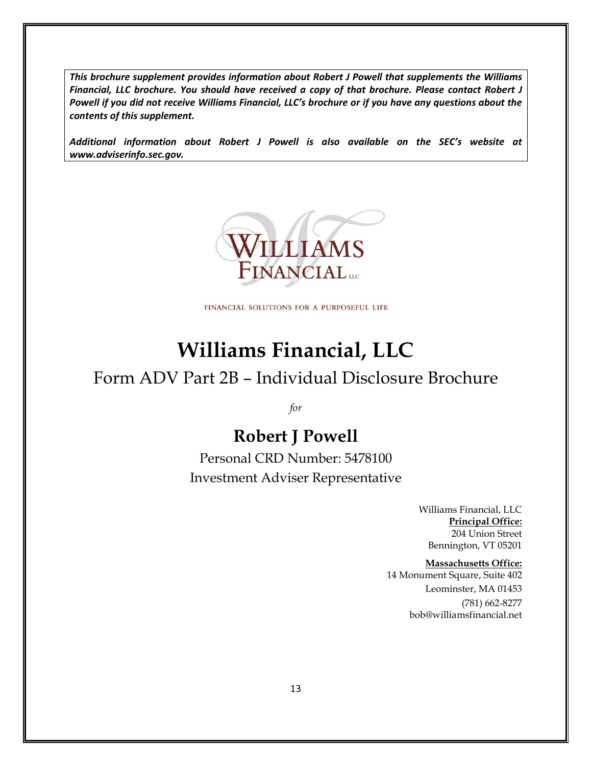*This brochure supplement provides information about Robert J Powell that supplements the Williams Financial, LLC brochure. You should have received a copy of that brochure. Please contact Robert J Powell if you did not receive Williams Financial, LLC's brochure or if you have any questions about the contents of this supplement.*

*Additional information about Robert J Powell is also available on the SEC's website at www.adviserinfo.sec.gov.*



FINANCIAL SOLUTIONS FOR A PURPOSEFUL LIFE

# **Williams Financial, LLC**

## Form ADV Part 2B – Individual Disclosure Brochure

*for*

## **Robert J Powell**

Personal CRD Number: 5478100 Investment Adviser Representative

> Williams Financial, LLC **Principal Office:** 204 Union Street Bennington, VT 05201

#### **Massachusetts Office:**

14 Monument Square, Suite 402 Leominster, MA 01453 (781) 662-8277 bob@williamsfinancial.net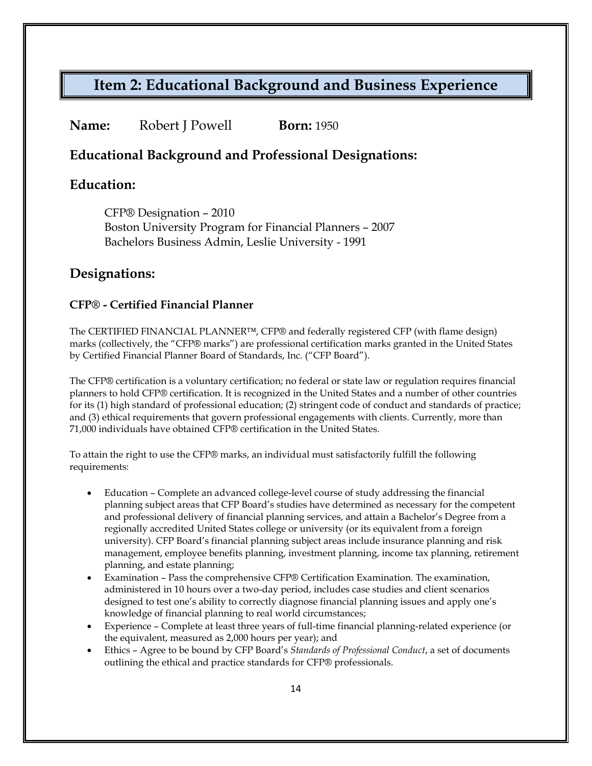### **Name:** Robert J Powell **Born:** 1950

### **Educational Background and Professional Designations:**

### **Education:**

CFP® Designation – 2010 Boston University Program for Financial Planners – 2007 Bachelors Business Admin, Leslie University - 1991

### **Designations:**

#### **CFP® - Certified Financial Planner**

The CERTIFIED FINANCIAL PLANNER™, CFP® and federally registered CFP (with flame design) marks (collectively, the "CFP® marks") are professional certification marks granted in the United States by Certified Financial Planner Board of Standards, Inc. ("CFP Board").

The CFP® certification is a voluntary certification; no federal or state law or regulation requires financial planners to hold CFP® certification. It is recognized in the United States and a number of other countries for its (1) high standard of professional education; (2) stringent code of conduct and standards of practice; and (3) ethical requirements that govern professional engagements with clients. Currently, more than 71,000 individuals have obtained CFP® certification in the United States.

To attain the right to use the CFP® marks, an individual must satisfactorily fulfill the following requirements:

- Education Complete an advanced college-level course of study addressing the financial planning subject areas that CFP Board's studies have determined as necessary for the competent and professional delivery of financial planning services, and attain a Bachelor's Degree from a regionally accredited United States college or university (or its equivalent from a foreign university). CFP Board's financial planning subject areas include insurance planning and risk management, employee benefits planning, investment planning, income tax planning, retirement planning, and estate planning;
- Examination Pass the comprehensive CFP® Certification Examination. The examination, administered in 10 hours over a two-day period, includes case studies and client scenarios designed to test one's ability to correctly diagnose financial planning issues and apply one's knowledge of financial planning to real world circumstances;
- Experience Complete at least three years of full-time financial planning-related experience (or the equivalent, measured as 2,000 hours per year); and
- Ethics Agree to be bound by CFP Board's *Standards of Professional Conduct*, a set of documents outlining the ethical and practice standards for CFP® professionals.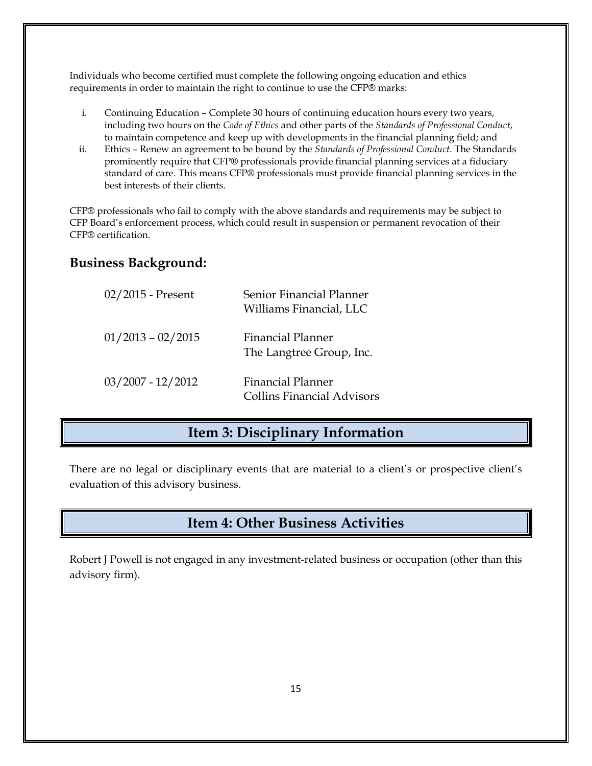Individuals who become certified must complete the following ongoing education and ethics requirements in order to maintain the right to continue to use the CFP® marks:

- i. Continuing Education Complete 30 hours of continuing education hours every two years, including two hours on the *Code of Ethics* and other parts of the *Standards of Professional Conduct*, to maintain competence and keep up with developments in the financial planning field; and
- ii. Ethics Renew an agreement to be bound by the *Standards of Professional Conduct*. The Standards prominently require that CFP® professionals provide financial planning services at a fiduciary standard of care. This means CFP® professionals must provide financial planning services in the best interests of their clients.

CFP® professionals who fail to comply with the above standards and requirements may be subject to CFP Board's enforcement process, which could result in suspension or permanent revocation of their CFP® certification.

### **Business Background:**

| $02/2015$ - Present | Senior Financial Planner<br>Williams Financial, LLC           |
|---------------------|---------------------------------------------------------------|
| $01/2013 - 02/2015$ | <b>Financial Planner</b><br>The Langtree Group, Inc.          |
| $03/2007 - 12/2012$ | <b>Financial Planner</b><br><b>Collins Financial Advisors</b> |

### **Item 3: Disciplinary Information**

There are no legal or disciplinary events that are material to a client's or prospective client's evaluation of this advisory business.

## **Item 4: Other Business Activities**

Robert J Powell is not engaged in any investment-related business or occupation (other than this advisory firm).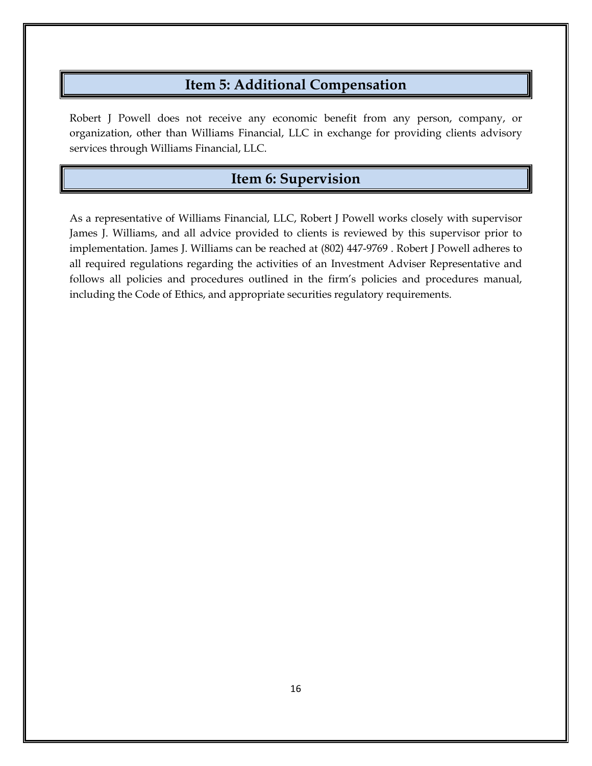### **Item 5: Additional Compensation**

Robert J Powell does not receive any economic benefit from any person, company, or organization, other than Williams Financial, LLC in exchange for providing clients advisory services through Williams Financial, LLC.

### **Item 6: Supervision**

As a representative of Williams Financial, LLC, Robert J Powell works closely with supervisor James J. Williams, and all advice provided to clients is reviewed by this supervisor prior to implementation. James J. Williams can be reached at (802) 447-9769 . Robert J Powell adheres to all required regulations regarding the activities of an Investment Adviser Representative and follows all policies and procedures outlined in the firm's policies and procedures manual, including the Code of Ethics, and appropriate securities regulatory requirements.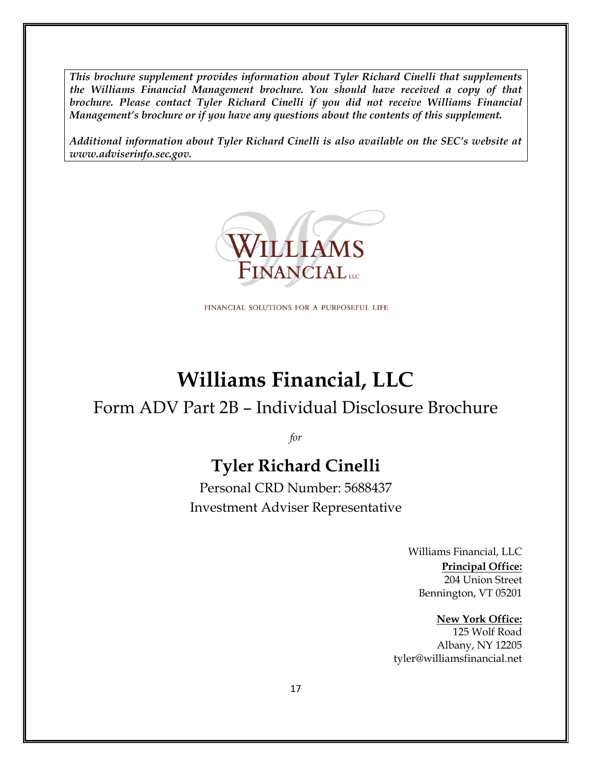*This brochure supplement provides information about Tyler Richard Cinelli that supplements the Williams Financial Management brochure. You should have received a copy of that brochure. Please contact Tyler Richard Cinelli if you did not receive Williams Financial Management's brochure or if you have any questions about the contents of this supplement.*

*Additional information about Tyler Richard Cinelli is also available on the SEC's website at www.adviserinfo.sec.gov.*



FINANCIAL SOLUTIONS FOR A PURPOSEFUL LIFE

# **Williams Financial, LLC**

## Form ADV Part 2B – Individual Disclosure Brochure

*for*

## **Tyler Richard Cinelli**

Personal CRD Number: 5688437 Investment Adviser Representative

> Williams Financial, LLC **Principal Office:** 204 Union Street Bennington, VT 05201

**New York Office:** 125 Wolf Road Albany, NY 12205 tyler@williamsfinancial.net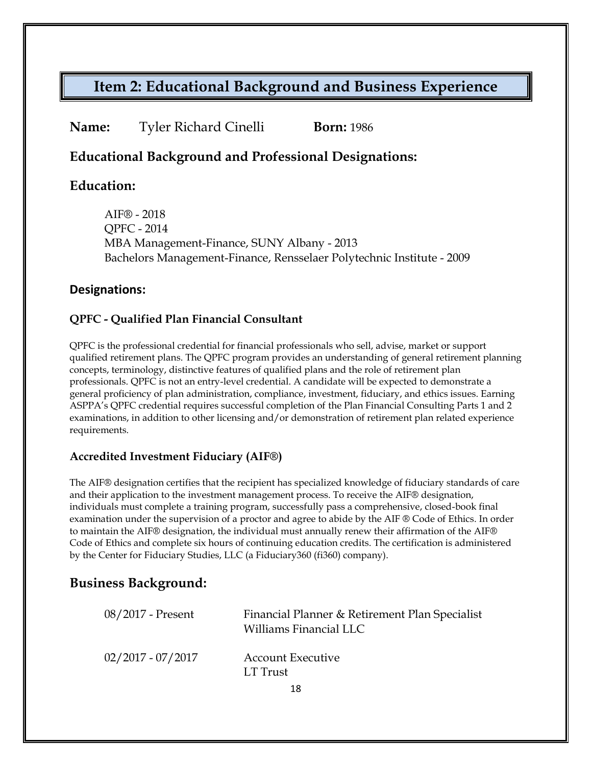### **Name:** Tyler Richard Cinelli **Born:** 1986

### **Educational Background and Professional Designations:**

### **Education:**

AIF® - 2018 QPFC - 2014 MBA Management-Finance, SUNY Albany - 2013 Bachelors Management-Finance, Rensselaer Polytechnic Institute - 2009

#### **Designations:**

#### **QPFC - Qualified Plan Financial Consultant**

QPFC is the professional credential for financial professionals who sell, advise, market or support qualified retirement plans. The QPFC program provides an understanding of general retirement planning concepts, terminology, distinctive features of qualified plans and the role of retirement plan professionals. QPFC is not an entry-level credential. A candidate will be expected to demonstrate a general proficiency of plan administration, compliance, investment, fiduciary, and ethics issues. Earning ASPPA's QPFC credential requires successful completion of the Plan Financial Consulting Parts 1 and 2 examinations, in addition to other licensing and/or demonstration of retirement plan related experience requirements.

#### **Accredited Investment Fiduciary (AIF®)**

The AIF® designation certifies that the recipient has specialized knowledge of fiduciary standards of care and their application to the investment management process. To receive the AIF® designation, individuals must complete a training program, successfully pass a comprehensive, closed-book final examination under the supervision of a proctor and agree to abide by the AIF ® Code of Ethics. In order to maintain the AIF® designation, the individual must annually renew their affirmation of the AIF® Code of Ethics and complete six hours of continuing education credits. The certification is administered by the Center for Fiduciary Studies, LLC (a Fiduciary360 (fi360) company).

### **Business Background:**

| 08/2017 - Present   | Financial Planner & Retirement Plan Specialist<br>Williams Financial LLC |
|---------------------|--------------------------------------------------------------------------|
| $02/2017 - 07/2017$ | <b>Account Executive</b><br>LT Trust                                     |
|                     |                                                                          |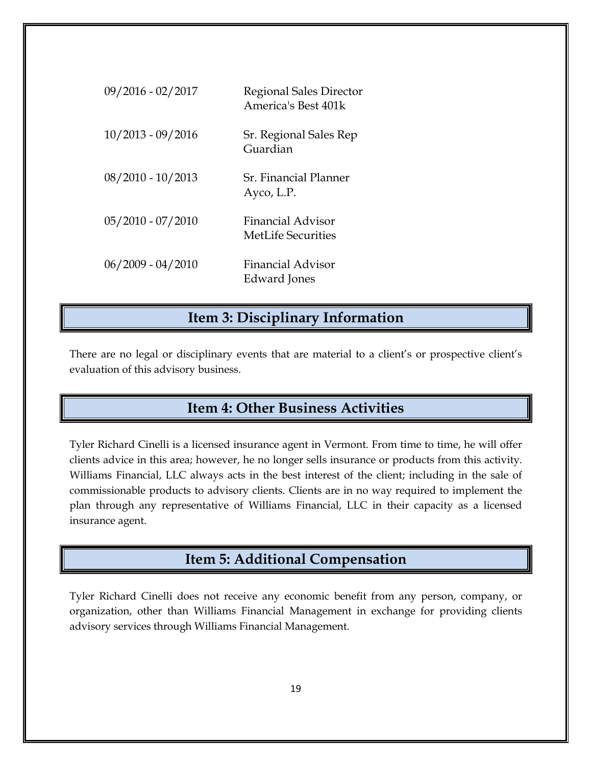| 09/2016 - 02/2017   | Regional Sales Director<br>America's Best 401k        |
|---------------------|-------------------------------------------------------|
| $10/2013 - 09/2016$ | Sr. Regional Sales Rep<br>Guardian                    |
| $08/2010 - 10/2013$ | Sr. Financial Planner<br>Ayco, L.P.                   |
| $05/2010 - 07/2010$ | <b>Financial Advisor</b><br><b>MetLife Securities</b> |
| $06/2009 - 04/2010$ | Financial Advisor<br>Edward Jones                     |

## **Item 3: Disciplinary Information**

There are no legal or disciplinary events that are material to a client's or prospective client's evaluation of this advisory business.

## **Item 4: Other Business Activities**

Tyler Richard Cinelli is a licensed insurance agent in Vermont. From time to time, he will offer clients advice in this area; however, he no longer sells insurance or products from this activity. Williams Financial, LLC always acts in the best interest of the client; including in the sale of commissionable products to advisory clients. Clients are in no way required to implement the plan through any representative of Williams Financial, LLC in their capacity as a licensed insurance agent.

## **Item 5: Additional Compensation**

Tyler Richard Cinelli does not receive any economic benefit from any person, company, or organization, other than Williams Financial Management in exchange for providing clients advisory services through Williams Financial Management.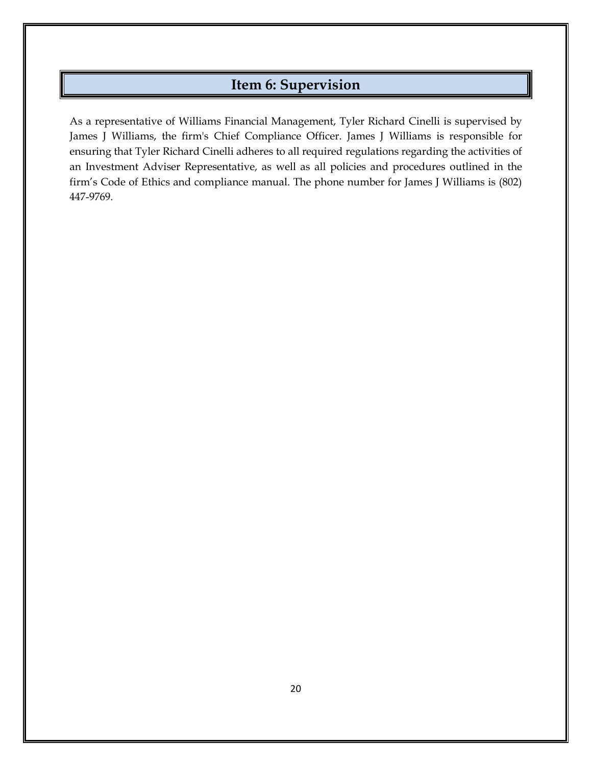## **Item 6: Supervision**

As a representative of Williams Financial Management, Tyler Richard Cinelli is supervised by James J Williams, the firm's Chief Compliance Officer. James J Williams is responsible for ensuring that Tyler Richard Cinelli adheres to all required regulations regarding the activities of an Investment Adviser Representative, as well as all policies and procedures outlined in the firm's Code of Ethics and compliance manual. The phone number for James J Williams is (802) 447-9769.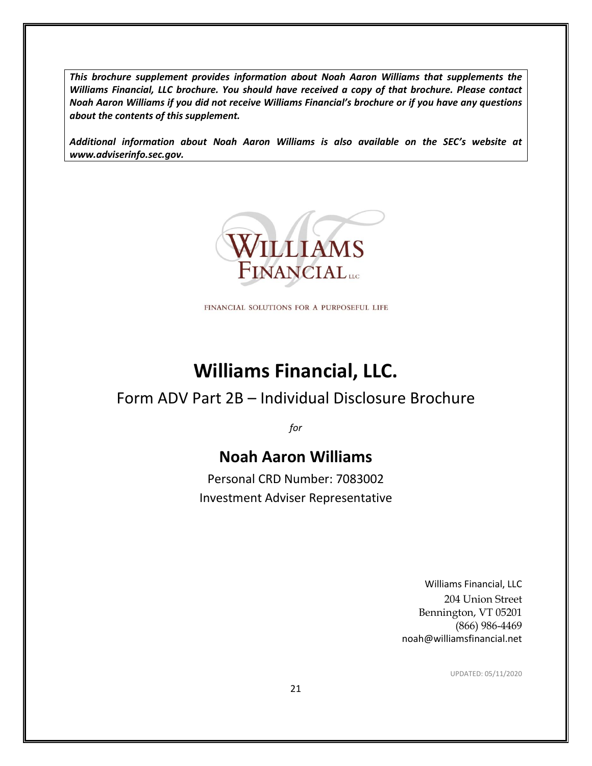*This brochure supplement provides information about Noah Aaron Williams that supplements the Williams Financial, LLC brochure. You should have received a copy of that brochure. Please contact Noah Aaron Williams if you did not receive Williams Financial's brochure or if you have any questions about the contents of this supplement.*

*Additional information about Noah Aaron Williams is also available on the SEC's website at www.adviserinfo.sec.gov.*



FINANCIAL SOLUTIONS FOR A PURPOSEFUL LIFE

# **Williams Financial, LLC.**

## Form ADV Part 2B – Individual Disclosure Brochure

*for*

## **Noah Aaron Williams**

Personal CRD Number: 7083002 Investment Adviser Representative

> Williams Financial, LLC 204 Union Street Bennington, VT 05201 (866) 986-4469 noah@williamsfinancial.net

> > UPDATED: 05/11/2020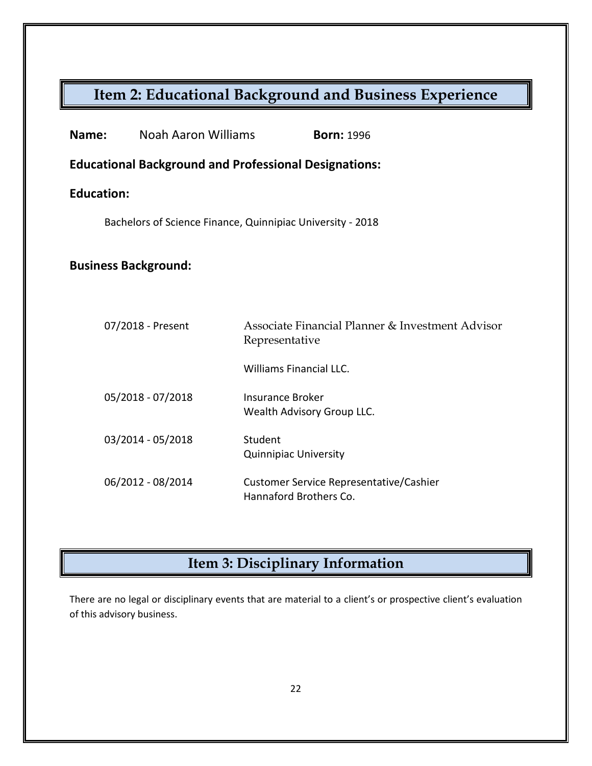| Name:                                                      | Noah Aaron Williams                                          | <b>Born: 1996</b>                                                  |  |
|------------------------------------------------------------|--------------------------------------------------------------|--------------------------------------------------------------------|--|
|                                                            | <b>Educational Background and Professional Designations:</b> |                                                                    |  |
| <b>Education:</b>                                          |                                                              |                                                                    |  |
| Bachelors of Science Finance, Quinnipiac University - 2018 |                                                              |                                                                    |  |
| <b>Business Background:</b>                                |                                                              |                                                                    |  |
|                                                            | 07/2018 - Present                                            | Associate Financial Planner & Investment Advisor<br>Representative |  |
|                                                            |                                                              | <b>Williams Financial LLC.</b>                                     |  |
|                                                            | 05/2018 - 07/2018                                            | <b>Insurance Broker</b><br>Wealth Advisory Group LLC.              |  |
|                                                            | 03/2014 - 05/2018                                            | Student<br><b>Quinnipiac University</b>                            |  |
|                                                            | 06/2012 - 08/2014                                            | Customer Service Representative/Cashier<br>Hannaford Brothers Co.  |  |

# **Item 3: Disciplinary Information**

There are no legal or disciplinary events that are material to a client's or prospective client's evaluation of this advisory business.